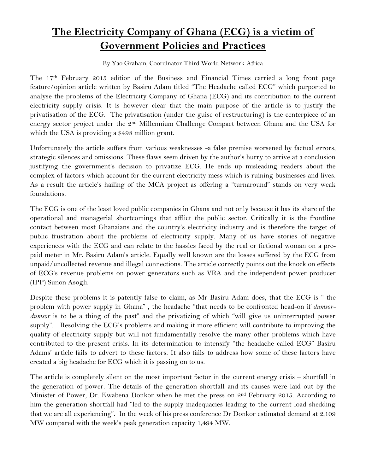## **The Electricity Company of Ghana (ECG) is a victim of Government Policies and Practices**

By Yao Graham, Coordinator Third World Network-Africa

The 17th February 2015 edition of the Business and Financial Times carried a long front page feature/opinion article written by Basiru Adam titled "The Headache called ECG" which purported to analyse the problems of the Electricity Company of Ghana (ECG) and its contribution to the current electricity supply crisis. It is however clear that the main purpose of the article is to justify the privatisation of the ECG. The privatisation (under the guise of restructuring) is the centerpiece of an energy sector project under the 2<sup>nd</sup> Millennium Challenge Compact between Ghana and the USA for which the USA is providing a \$498 million grant.

Unfortunately the article suffers from various weaknesses -a false premise worsened by factual errors, strategic silences and omissions. These flaws seem driven by the author's hurry to arrive at a conclusion justifying the government's decision to privatize ECG. He ends up misleading readers about the complex of factors which account for the current electricity mess which is ruining businesses and lives. As a result the article's hailing of the MCA project as offering a "turnaround" stands on very weak foundations.

The ECG is one of the least loved public companies in Ghana and not only because it has its share of the operational and managerial shortcomings that afflict the public sector. Critically it is the frontline contact between most Ghanaians and the country's electricity industry and is therefore the target of public frustration about the problems of electricity supply. Many of us have stories of negative experiences with the ECG and can relate to the hassles faced by the real or fictional woman on a prepaid meter in Mr. Basiru Adam's article. Equally well known are the losses suffered by the ECG from unpaid/uncollected revenue and illegal connections. The article correctly points out the knock on effects of ECG's revenue problems on power generators such as VRA and the independent power producer (IPP) Sunon Asogli.

Despite these problems it is patently false to claim, as Mr Basiru Adam does, that the ECG is " the problem with power supply in Ghana" , the headache "that needs to be confronted head-on if *dumsordumsor* is to be a thing of the past" and the privatizing of which "will give us uninterrupted power supply". Resolving the ECG's problems and making it more efficient will contribute to improving the quality of electricity supply but will not fundamentally resolve the many other problems which have contributed to the present crisis. In its determination to intensify "the headache called ECG" Basiru Adams' article fails to advert to these factors. It also fails to address how some of these factors have created a big headache for ECG which it is passing on to us.

The article is completely silent on the most important factor in the current energy crisis – shortfall in the generation of power. The details of the generation shortfall and its causes were laid out by the Minister of Power, Dr. Kwabena Donkor when he met the press on 2<sup>nd</sup> February 2015. According to him the generation shortfall had "led to the supply inadequacies leading to the current load shedding that we are all experiencing". In the week of his press conference Dr Donkor estimated demand at 2,109 MW compared with the week's peak generation capacity 1,494 MW.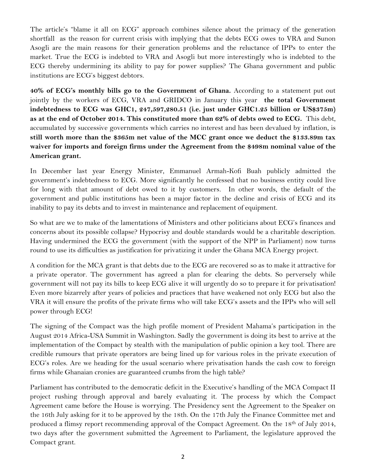The article's "blame it all on ECG" approach combines silence about the primacy of the generation shortfall as the reason for current crisis with implying that the debts ECG owes to VRA and Sunon Asogli are the main reasons for their generation problems and the reluctance of IPPs to enter the market. True the ECG is indebted to VRA and Asogli but more interestingly who is indebted to the ECG thereby undermining its ability to pay for power supplies? The Ghana government and public institutions are ECG's biggest debtors.

**40% of ECG's monthly bills go to the Government of Ghana.** According to a statement put out jointly by the workers of ECG, VRA and GRIDCO in January this year **the total Government indebtedness to ECG was GHC1, 247,597,280.51 (i.e. just under GHC1.25 billion or US\$375m) as at the end of October 2014. This constituted more than 62% of debts owed to ECG.** This debt, accumulated by successive governments which carries no interest and has been devalued by inflation, is **still worth more than the \$365m net value of the MCC grant once we deduct the \$133.89m tax waiver for imports and foreign firms under the Agreement from the \$498m nominal value of the American grant.**

In December last year Energy Minister, Emmanuel Armah-Kofi Buah publicly admitted the government's indebtedness to ECG. More significantly he confessed that no business entity could live for long with that amount of debt owed to it by customers. In other words, the default of the government and public institutions has been a major factor in the decline and crisis of ECG and its inability to pay its debts and to invest in maintenance and replacement of equipment.

So what are we to make of the lamentations of Ministers and other politicians about ECG's finances and concerns about its possible collapse? Hypocrisy and double standards would be a charitable description. Having undermined the ECG the government (with the support of the NPP in Parliament) now turns round to use its difficulties as justification for privatizing it under the Ghana MCA Energy project.

A condition for the MCA grant is that debts due to the ECG are recovered so as to make it attractive for a private operator. The government has agreed a plan for clearing the debts. So perversely while government will not pay its bills to keep ECG alive it will urgently do so to prepare it for privatisation! Even more bizarrely after years of policies and practices that have weakened not only ECG but also the VRA it will ensure the profits of the private firms who will take ECG's assets and the IPPs who will sell power through ECG!

The signing of the Compact was the high profile moment of President Mahama's participation in the August 2014 Africa-USA Summit in Washington. Sadly the government is doing its best to arrive at the implementation of the Compact by stealth with the manipulation of public opinion a key tool. There are credible rumours that private operators are being lined up for various roles in the private execution of ECG's roles. Are we heading for the usual scenario where privatisation hands the cash cow to foreign firms while Ghanaian cronies are guaranteed crumbs from the high table?

Parliament has contributed to the democratic deficit in the Executive's handling of the MCA Compact II project rushing through approval and barely evaluating it. The process by which the Compact Agreement came before the House is worrying. The Presidency sent the Agreement to the Speaker on the 16th July asking for it to be approved by the 18th. On the 17th July the Finance Committee met and produced a flimsy report recommending approval of the Compact Agreement. On the 18th of July 2014, two days after the government submitted the Agreement to Parliament, the legislature approved the Compact grant.